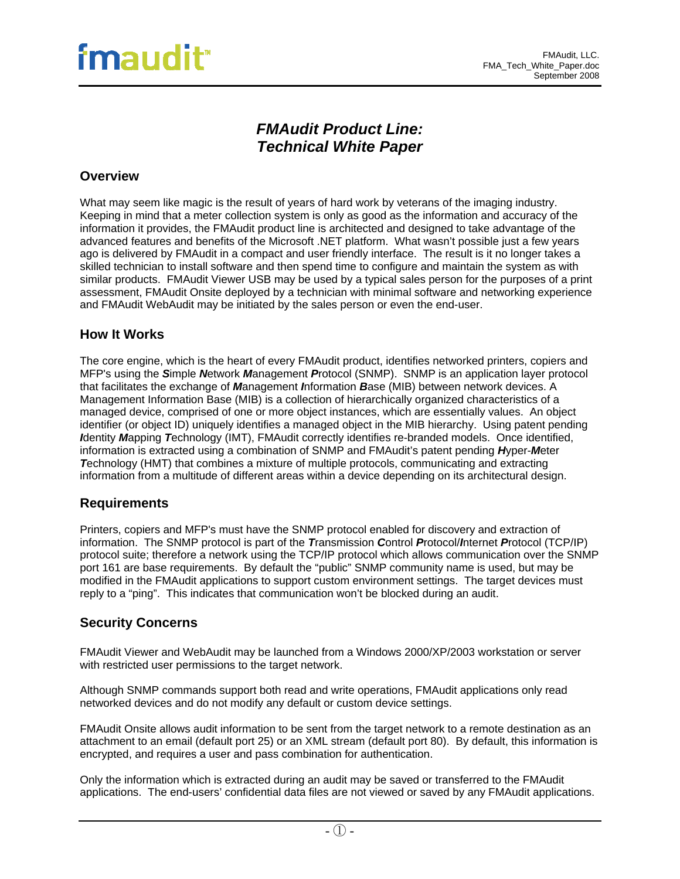## *FMAudit Product Line: Technical White Paper*

## **Overview**

What may seem like magic is the result of years of hard work by veterans of the imaging industry. Keeping in mind that a meter collection system is only as good as the information and accuracy of the information it provides, the FMAudit product line is architected and designed to take advantage of the advanced features and benefits of the Microsoft .NET platform. What wasn't possible just a few years ago is delivered by FMAudit in a compact and user friendly interface. The result is it no longer takes a skilled technician to install software and then spend time to configure and maintain the system as with similar products. FMAudit Viewer USB may be used by a typical sales person for the purposes of a print assessment, FMAudit Onsite deployed by a technician with minimal software and networking experience and FMAudit WebAudit may be initiated by the sales person or even the end-user.

## **How It Works**

The core engine, which is the heart of every FMAudit product, identifies networked printers, copiers and MFP's using the *S*imple *N*etwork *M*anagement *P*rotocol (SNMP). SNMP is an application layer protocol that facilitates the exchange of *M*anagement *I*nformation *B*ase (MIB) between network devices. A Management Information Base (MIB) is a collection of hierarchically organized characteristics of a managed device, comprised of one or more object instances, which are essentially values. An object identifier (or object ID) uniquely identifies a managed object in the MIB hierarchy. Using patent pending *I*dentity *M*apping *T*echnology (IMT), FMAudit correctly identifies re-branded models. Once identified, information is extracted using a combination of SNMP and FMAudit's patent pending *H*yper-*M*eter **Technology (HMT) that combines a mixture of multiple protocols, communicating and extracting** information from a multitude of different areas within a device depending on its architectural design.

## **Requirements**

Printers, copiers and MFP's must have the SNMP protocol enabled for discovery and extraction of information. The SNMP protocol is part of the *T*ransmission *C*ontrol *P*rotocol/*I*nternet *P*rotocol (TCP/IP) protocol suite; therefore a network using the TCP/IP protocol which allows communication over the SNMP port 161 are base requirements. By default the "public" SNMP community name is used, but may be modified in the FMAudit applications to support custom environment settings. The target devices must reply to a "ping". This indicates that communication won't be blocked during an audit.

## **Security Concerns**

FMAudit Viewer and WebAudit may be launched from a Windows 2000/XP/2003 workstation or server with restricted user permissions to the target network.

Although SNMP commands support both read and write operations, FMAudit applications only read networked devices and do not modify any default or custom device settings.

FMAudit Onsite allows audit information to be sent from the target network to a remote destination as an attachment to an email (default port 25) or an XML stream (default port 80). By default, this information is encrypted, and requires a user and pass combination for authentication.

Only the information which is extracted during an audit may be saved or transferred to the FMAudit applications. The end-users' confidential data files are not viewed or saved by any FMAudit applications.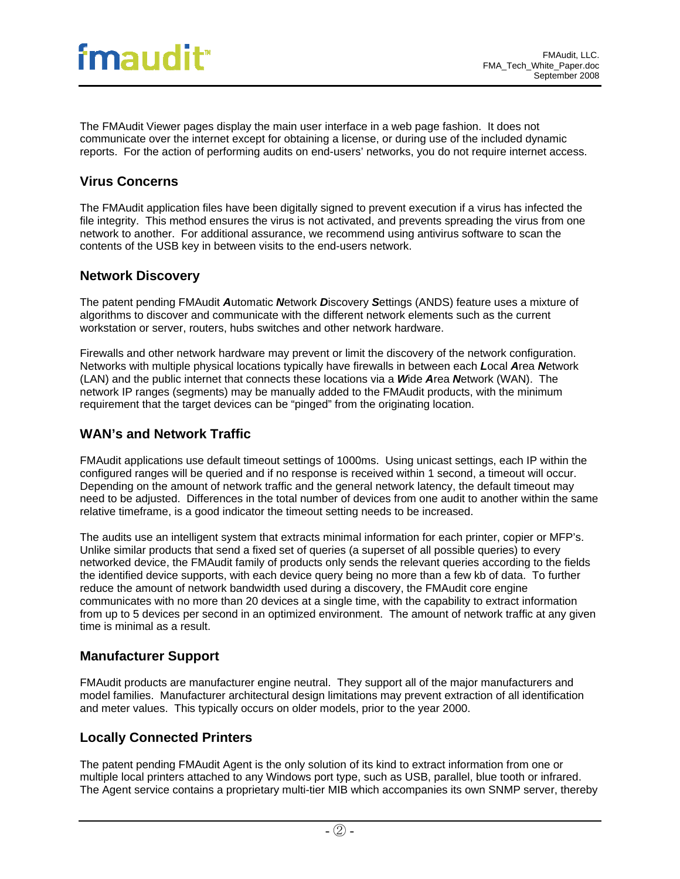# fmaudit<sup>®</sup>

The FMAudit Viewer pages display the main user interface in a web page fashion. It does not communicate over the internet except for obtaining a license, or during use of the included dynamic reports. For the action of performing audits on end-users' networks, you do not require internet access.

## **Virus Concerns**

The FMAudit application files have been digitally signed to prevent execution if a virus has infected the file integrity. This method ensures the virus is not activated, and prevents spreading the virus from one network to another. For additional assurance, we recommend using antivirus software to scan the contents of the USB key in between visits to the end-users network.

## **Network Discovery**

The patent pending FMAudit *A*utomatic *N*etwork *D*iscovery *S*ettings (ANDS) feature uses a mixture of algorithms to discover and communicate with the different network elements such as the current workstation or server, routers, hubs switches and other network hardware.

Firewalls and other network hardware may prevent or limit the discovery of the network configuration. Networks with multiple physical locations typically have firewalls in between each *L*ocal *A*rea *N*etwork (LAN) and the public internet that connects these locations via a *W*ide *A*rea *N*etwork (WAN). The network IP ranges (segments) may be manually added to the FMAudit products, with the minimum requirement that the target devices can be "pinged" from the originating location.

## **WAN's and Network Traffic**

FMAudit applications use default timeout settings of 1000ms. Using unicast settings, each IP within the configured ranges will be queried and if no response is received within 1 second, a timeout will occur. Depending on the amount of network traffic and the general network latency, the default timeout may need to be adjusted. Differences in the total number of devices from one audit to another within the same relative timeframe, is a good indicator the timeout setting needs to be increased.

The audits use an intelligent system that extracts minimal information for each printer, copier or MFP's. Unlike similar products that send a fixed set of queries (a superset of all possible queries) to every networked device, the FMAudit family of products only sends the relevant queries according to the fields the identified device supports, with each device query being no more than a few kb of data. To further reduce the amount of network bandwidth used during a discovery, the FMAudit core engine communicates with no more than 20 devices at a single time, with the capability to extract information from up to 5 devices per second in an optimized environment. The amount of network traffic at any given time is minimal as a result.

## **Manufacturer Support**

FMAudit products are manufacturer engine neutral. They support all of the major manufacturers and model families. Manufacturer architectural design limitations may prevent extraction of all identification and meter values. This typically occurs on older models, prior to the year 2000.

## **Locally Connected Printers**

The patent pending FMAudit Agent is the only solution of its kind to extract information from one or multiple local printers attached to any Windows port type, such as USB, parallel, blue tooth or infrared. The Agent service contains a proprietary multi-tier MIB which accompanies its own SNMP server, thereby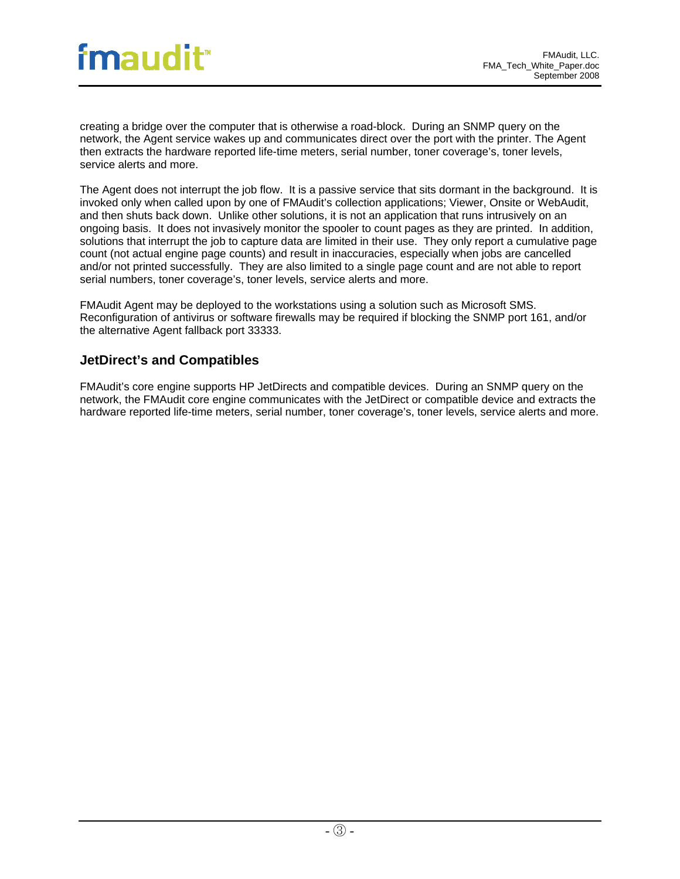creating a bridge over the computer that is otherwise a road-block. During an SNMP query on the network, the Agent service wakes up and communicates direct over the port with the printer. The Agent then extracts the hardware reported life-time meters, serial number, toner coverage's, toner levels, service alerts and more.

The Agent does not interrupt the job flow. It is a passive service that sits dormant in the background. It is invoked only when called upon by one of FMAudit's collection applications; Viewer, Onsite or WebAudit, and then shuts back down. Unlike other solutions, it is not an application that runs intrusively on an ongoing basis. It does not invasively monitor the spooler to count pages as they are printed. In addition, solutions that interrupt the job to capture data are limited in their use. They only report a cumulative page count (not actual engine page counts) and result in inaccuracies, especially when jobs are cancelled and/or not printed successfully. They are also limited to a single page count and are not able to report serial numbers, toner coverage's, toner levels, service alerts and more.

FMAudit Agent may be deployed to the workstations using a solution such as Microsoft SMS. Reconfiguration of antivirus or software firewalls may be required if blocking the SNMP port 161, and/or the alternative Agent fallback port 33333.

## **JetDirect's and Compatibles**

FMAudit's core engine supports HP JetDirects and compatible devices. During an SNMP query on the network, the FMAudit core engine communicates with the JetDirect or compatible device and extracts the hardware reported life-time meters, serial number, toner coverage's, toner levels, service alerts and more.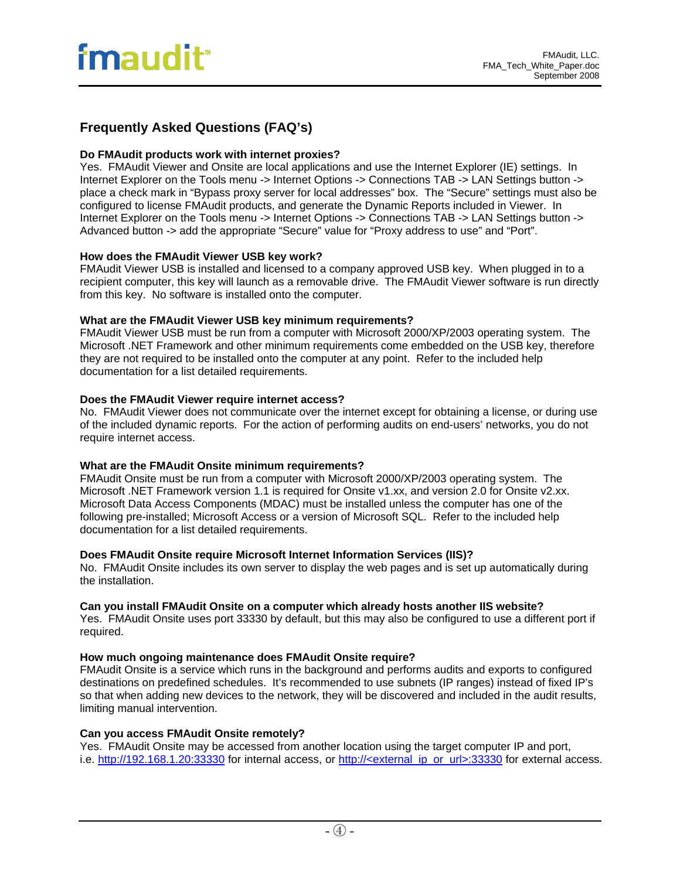## **Frequently Asked Questions (FAQ's)**

#### **Do FMAudit products work with internet proxies?**

Yes. FMAudit Viewer and Onsite are local applications and use the Internet Explorer (IE) settings. In Internet Explorer on the Tools menu -> Internet Options -> Connections TAB -> LAN Settings button -> place a check mark in "Bypass proxy server for local addresses" box. The "Secure" settings must also be configured to license FMAudit products, and generate the Dynamic Reports included in Viewer. In Internet Explorer on the Tools menu -> Internet Options -> Connections TAB -> LAN Settings button -> Advanced button -> add the appropriate "Secure" value for "Proxy address to use" and "Port".

#### **How does the FMAudit Viewer USB key work?**

FMAudit Viewer USB is installed and licensed to a company approved USB key. When plugged in to a recipient computer, this key will launch as a removable drive. The FMAudit Viewer software is run directly from this key. No software is installed onto the computer.

#### **What are the FMAudit Viewer USB key minimum requirements?**

FMAudit Viewer USB must be run from a computer with Microsoft 2000/XP/2003 operating system. The Microsoft .NET Framework and other minimum requirements come embedded on the USB key, therefore they are not required to be installed onto the computer at any point. Refer to the included help documentation for a list detailed requirements.

#### **Does the FMAudit Viewer require internet access?**

No. FMAudit Viewer does not communicate over the internet except for obtaining a license, or during use of the included dynamic reports. For the action of performing audits on end-users' networks, you do not require internet access.

#### **What are the FMAudit Onsite minimum requirements?**

FMAudit Onsite must be run from a computer with Microsoft 2000/XP/2003 operating system. The Microsoft .NET Framework version 1.1 is required for Onsite v1.xx, and version 2.0 for Onsite v2.xx. Microsoft Data Access Components (MDAC) must be installed unless the computer has one of the following pre-installed; Microsoft Access or a version of Microsoft SQL. Refer to the included help documentation for a list detailed requirements.

#### **Does FMAudit Onsite require Microsoft Internet Information Services (IIS)?**

No. FMAudit Onsite includes its own server to display the web pages and is set up automatically during the installation.

#### **Can you install FMAudit Onsite on a computer which already hosts another IIS website?**

Yes. FMAudit Onsite uses port 33330 by default, but this may also be configured to use a different port if required.

#### **How much ongoing maintenance does FMAudit Onsite require?**

FMAudit Onsite is a service which runs in the background and performs audits and exports to configured destinations on predefined schedules. It's recommended to use subnets (IP ranges) instead of fixed IP's so that when adding new devices to the network, they will be discovered and included in the audit results, limiting manual intervention.

#### **Can you access FMAudit Onsite remotely?**

Yes. FMAudit Onsite may be accessed from another location using the target computer IP and port, i.e. [http://192.168.1.20:33330](http://192.168.1.20:33330/) for internal access, or [http://<external\\_ip\\_or\\_url>:33330](http://%3Cexternal_ip_or_url%3E:33330/) for external access.